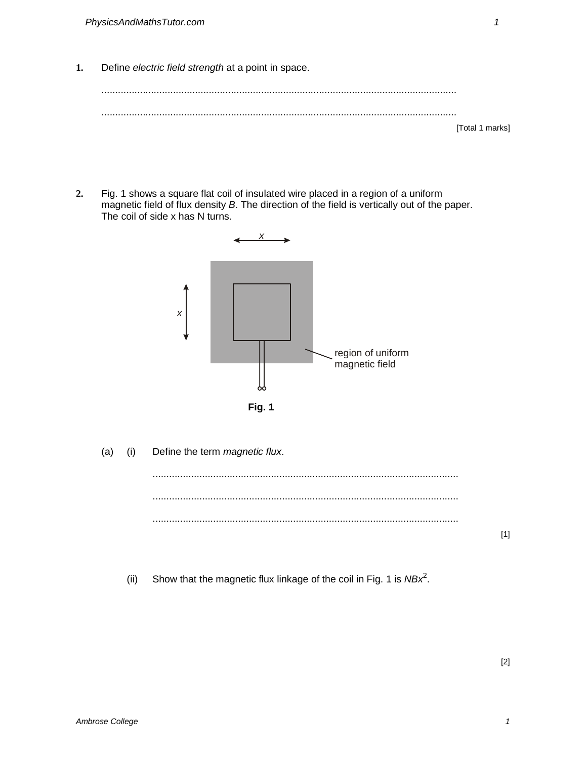**1.** Define electric field strength at a point in space.

**2.** Fig. 1 shows a square flat coil of insulated wire placed in a region of a uniform magnetic field of flux density B. The direction of the field is vertically out of the paper. The coil of side x has N turns.



(a) (i) Define the term magnetic flux.

(ii) Show that the magnetic flux linkage of the coil in Fig. 1 is  $NBx^2$ .

[1]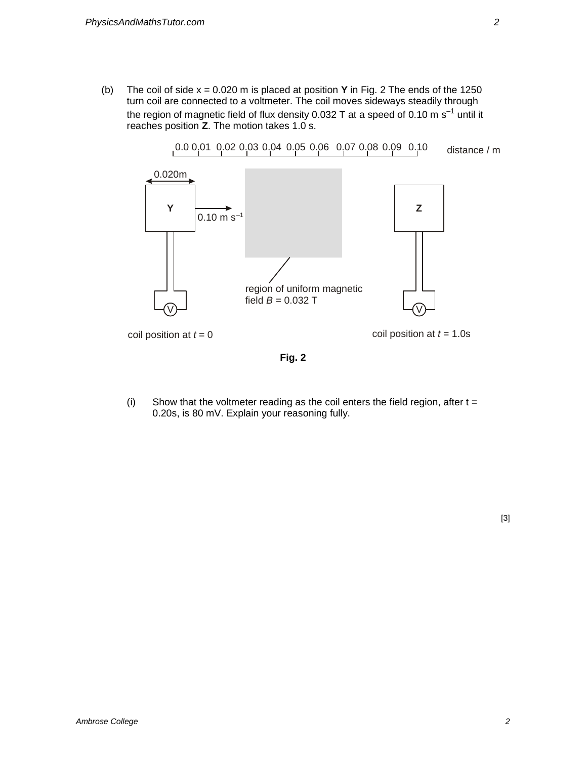(b) The coil of side x = 0.020 m is placed at position **Y** in Fig. 2 The ends of the 1250 turn coil are connected to a voltmeter. The coil moves sideways steadily through the region of magnetic field of flux density 0.032 T at a speed of 0.10 m  $s^{-1}$  until it reaches position **Z**. The motion takes 1.0 s.



**Fig. 2** 

(i) Show that the voltmeter reading as the coil enters the field region, after  $t =$ 0.20s, is 80 mV. Explain your reasoning fully.

[3]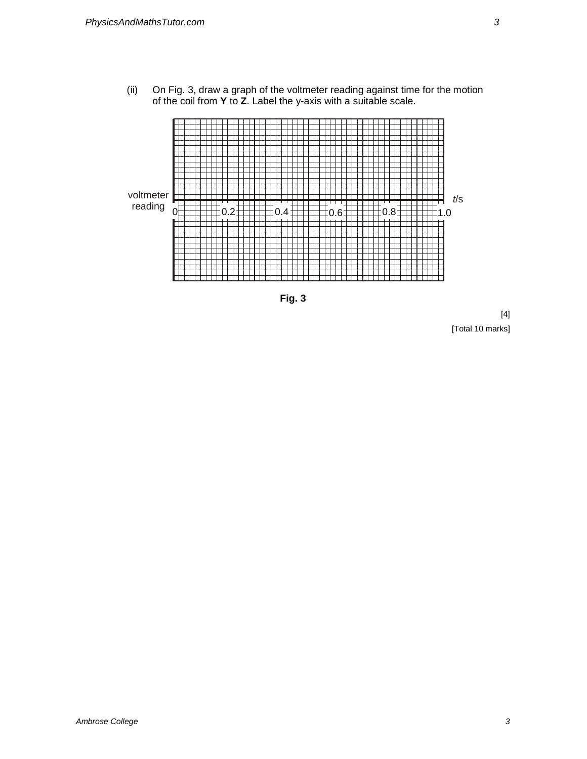(ii) On Fig. 3, draw a graph of the voltmeter reading against time for the motion of the coil from **Y** to **Z**. Label the y-axis with a suitable scale.





[4] [Total 10 marks]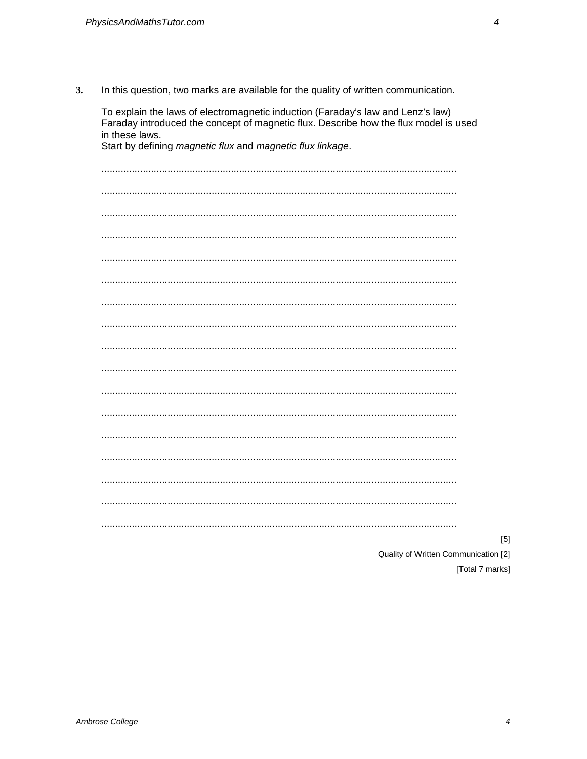$3.$ In this question, two marks are available for the quality of written communication.

| To explain the laws of electromagnetic induction (Faraday's law and Lenz's law)<br>Faraday introduced the concept of magnetic flux. Describe how the flux model is used<br>in these laws.<br>Start by defining magnetic flux and magnetic flux linkage. |  |  |  |  |
|---------------------------------------------------------------------------------------------------------------------------------------------------------------------------------------------------------------------------------------------------------|--|--|--|--|
|                                                                                                                                                                                                                                                         |  |  |  |  |
|                                                                                                                                                                                                                                                         |  |  |  |  |
|                                                                                                                                                                                                                                                         |  |  |  |  |
|                                                                                                                                                                                                                                                         |  |  |  |  |
|                                                                                                                                                                                                                                                         |  |  |  |  |
|                                                                                                                                                                                                                                                         |  |  |  |  |
|                                                                                                                                                                                                                                                         |  |  |  |  |
|                                                                                                                                                                                                                                                         |  |  |  |  |
|                                                                                                                                                                                                                                                         |  |  |  |  |
|                                                                                                                                                                                                                                                         |  |  |  |  |
|                                                                                                                                                                                                                                                         |  |  |  |  |
|                                                                                                                                                                                                                                                         |  |  |  |  |
|                                                                                                                                                                                                                                                         |  |  |  |  |
|                                                                                                                                                                                                                                                         |  |  |  |  |
|                                                                                                                                                                                                                                                         |  |  |  |  |
|                                                                                                                                                                                                                                                         |  |  |  |  |
|                                                                                                                                                                                                                                                         |  |  |  |  |
|                                                                                                                                                                                                                                                         |  |  |  |  |

 $[5] % \begin{center} \includegraphics[width=\linewidth]{imagesSupplemental/Imit} \caption{The image shows the image shows a single number of times.} \label{fig:limal} \end{center}$ 

Quality of Written Communication [2]

[Total 7 marks]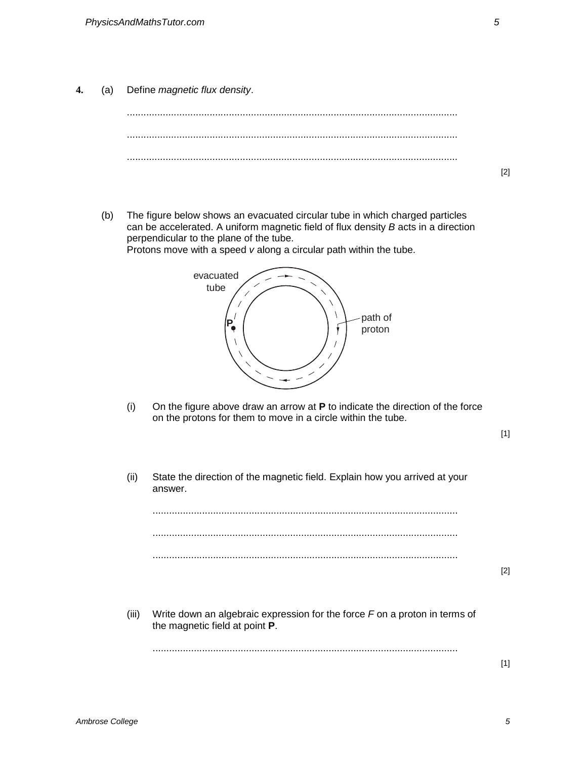**4.** (a) Define magnetic flux density.



- [2]
- (b) The figure below shows an evacuated circular tube in which charged particles can be accelerated. A uniform magnetic field of flux density B acts in a direction perpendicular to the plane of the tube. Protons move with a speed v along a circular path within the tube.

evacuated tube path of  $\overrightarrow{P}$   $\left(\begin{array}{c} \overrightarrow{P} \end{array}\right)$   $\overrightarrow{r}$   $\begin{array}{c} \overrightarrow{P} \end{array}$  proton

(i) On the figure above draw an arrow at **P** to indicate the direction of the force on the protons for them to move in a circle within the tube.

(ii) State the direction of the magnetic field. Explain how you arrived at your answer. ............................................................................................................... ............................................................................................................... ............................................................................................................... (iii) Write down an algebraic expression for the force  $F$  on a proton in terms of the magnetic field at point **P**. ...............................................................................................................

[2]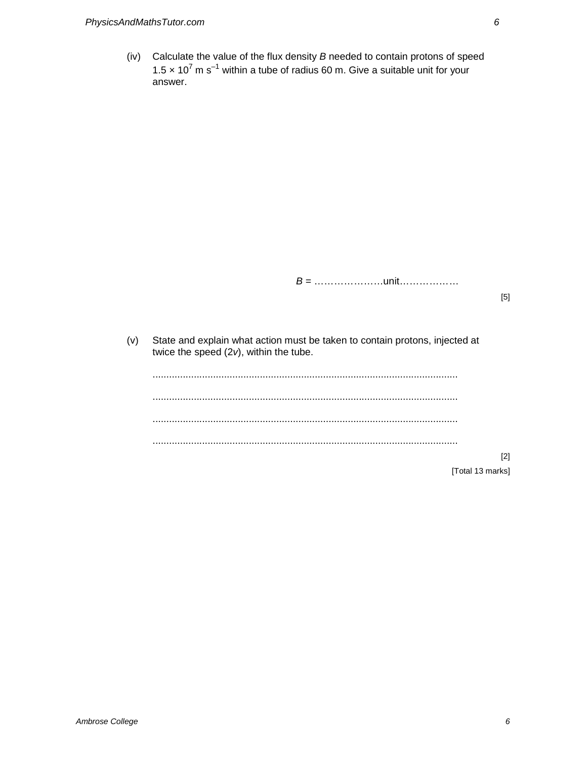(iv) Calculate the value of the flux density  $B$  needed to contain protons of speed 1.5  $\times$  10<sup>7</sup> m s<sup>-1</sup> within a tube of radius 60 m. Give a suitable unit for your answer.

B = …………………unit………………

[5]

(v) State and explain what action must be taken to contain protons, injected at twice the speed  $(2v)$ , within the tube.

............................................................................................................... ............................................................................................................... ............................................................................................................... ...............................................................................................................

[2]

[Total 13 marks]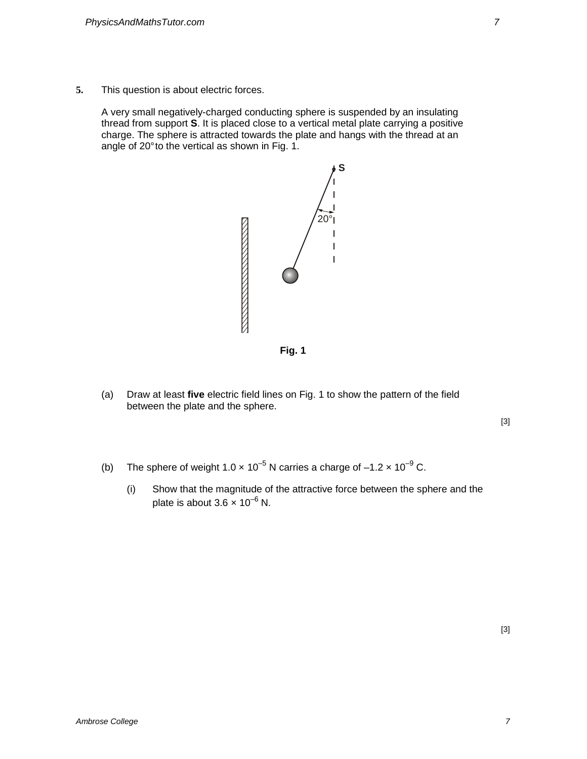**5.** This question is about electric forces.

A very small negatively-charged conducting sphere is suspended by an insulating thread from support **S**. It is placed close to a vertical metal plate carrying a positive charge. The sphere is attracted towards the plate and hangs with the thread at an angle of 20° to the vertical as shown in Fig. 1.



**Fig. 1** 

(a) Draw at least **five** electric field lines on Fig. 1 to show the pattern of the field between the plate and the sphere.

[3]

- (b) The sphere of weight  $1.0 \times 10^{-5}$  N carries a charge of  $-1.2 \times 10^{-9}$  C.
	- (i) Show that the magnitude of the attractive force between the sphere and the plate is about  $3.6 \times 10^{-6}$  N.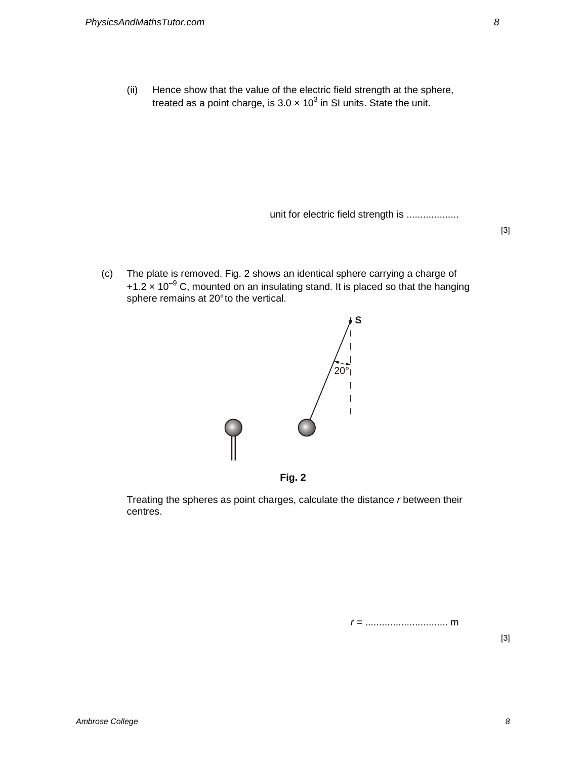(ii) Hence show that the value of the electric field strength at the sphere, treated as a point charge, is 3.0  $\times$  10<sup>3</sup> in SI units. State the unit.

unit for electric field strength is ...................

[3]

(c) The plate is removed. Fig. 2 shows an identical sphere carrying a charge of +1.2  $\times$  10<sup>-9</sup> C, mounted on an insulating stand. It is placed so that the hanging sphere remains at 20° to the vertical.





Treating the spheres as point charges, calculate the distance r between their centres.

r = .............................. m

[3]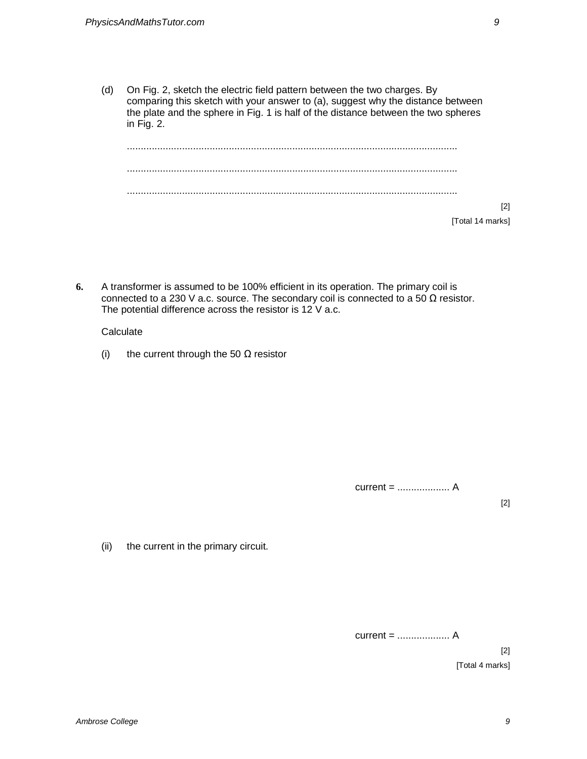(d) On Fig. 2, sketch the electric field pattern between the two charges. By comparing this sketch with your answer to (a), suggest why the distance between the plate and the sphere in Fig. 1 is half of the distance between the two spheres in Fig. 2.

........................................................................................................................ ........................................................................................................................ ........................................................................................................................ [2] [Total 14 marks]

**6.** A transformer is assumed to be 100% efficient in its operation. The primary coil is connected to a 230 V a.c. source. The secondary coil is connected to a 50  $\Omega$  resistor. The potential difference across the resistor is 12 V a.c.

## **Calculate**

(i) the current through the 50  $\Omega$  resistor

current = ................... A

[2]

(ii) the current in the primary circuit.

current = ................... A

[2] [Total 4 marks]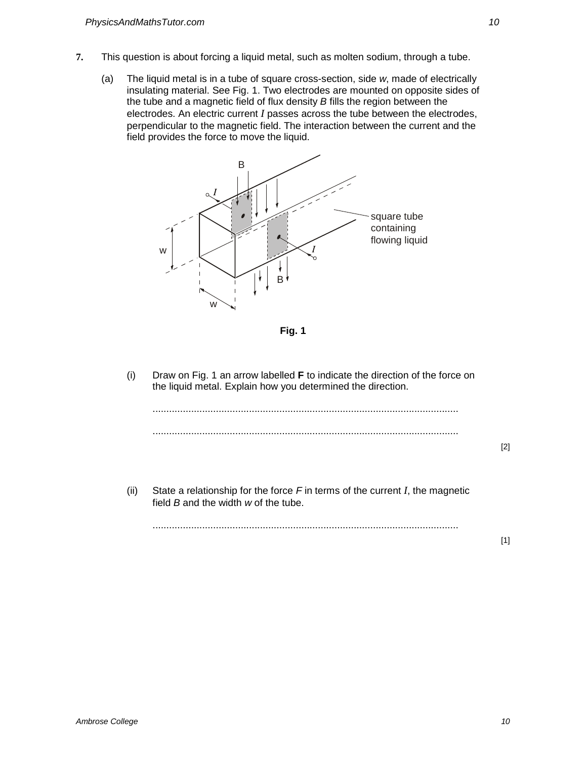- **7.** This question is about forcing a liquid metal, such as molten sodium, through a tube.
	- (a) The liquid metal is in a tube of square cross-section, side w, made of electrically insulating material. See Fig. 1. Two electrodes are mounted on opposite sides of the tube and a magnetic field of flux density B fills the region between the electrodes. An electric current *I* passes across the tube between the electrodes, perpendicular to the magnetic field. The interaction between the current and the field provides the force to move the liquid.



 **Fig. 1** 

(i) Draw on Fig. 1 an arrow labelled **F** to indicate the direction of the force on the liquid metal. Explain how you determined the direction.

[2]

[1]

(ii) State a relationship for the force F in terms of the current *I*, the magnetic field  $B$  and the width  $w$  of the tube.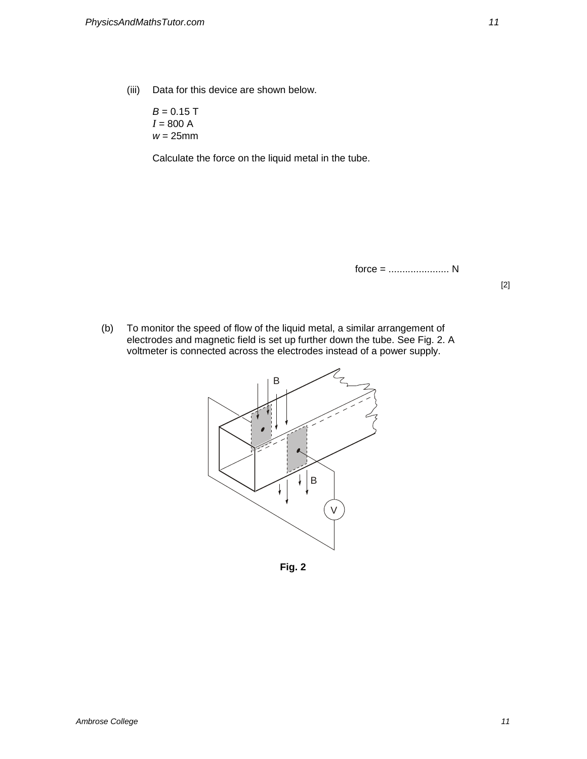(iii) Data for this device are shown below.

 $B = 0.15$  T  $I = 800 A$  $w = 25$ mm

Calculate the force on the liquid metal in the tube.

force = ...................... N

[2]

(b) To monitor the speed of flow of the liquid metal, a similar arrangement of electrodes and magnetic field is set up further down the tube. See Fig. 2. A voltmeter is connected across the electrodes instead of a power supply.



**Fig. 2**